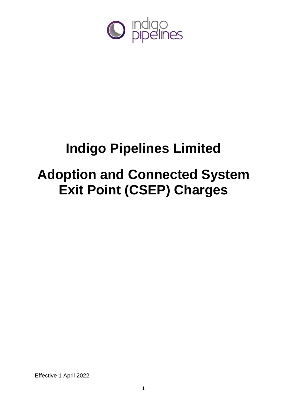

# **Indigo Pipelines Limited**

# **Adoption and Connected System Exit Point (CSEP) Charges**

Effective 1 April 2022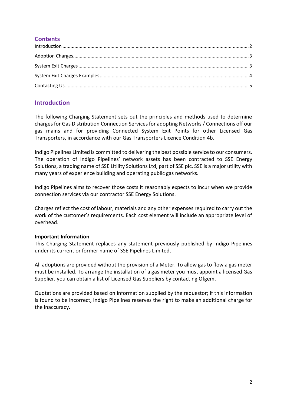## **Contents**

## <span id="page-1-0"></span>**Introduction**

The following Charging Statement sets out the principles and methods used to determine charges for Gas Distribution Connection Services for adopting Networks / Connections off our gas mains and for providing Connected System Exit Points for other Licensed Gas Transporters, in accordance with our Gas Transporters Licence Condition 4b.

Indigo Pipelines Limited is committed to delivering the best possible service to our consumers. The operation of Indigo Pipelines' network assets has been contracted to SSE Energy Solutions, a trading name of SSE Utility Solutions Ltd, part of SSE plc. SSE is a major utility with many years of experience building and operating public gas networks.

Indigo Pipelines aims to recover those costs it reasonably expects to incur when we provide connection services via our contractor SSE Energy Solutions.

Charges reflect the cost of labour, materials and any other expenses required to carry out the work of the customer's requirements. Each cost element will include an appropriate level of overhead.

## **Important Information**

This Charging Statement replaces any statement previously published by Indigo Pipelines under its current or former name of SSE Pipelines Limited.

All adoptions are provided without the provision of a Meter. To allow gas to flow a gas meter must be installed. To arrange the installation of a gas meter you must appoint a licensed Gas Supplier, you can obtain a list of Licensed Gas Suppliers by contacting Ofgem.

Quotations are provided based on information supplied by the requestor; if this information is found to be incorrect, Indigo Pipelines reserves the right to make an additional charge for the inaccuracy.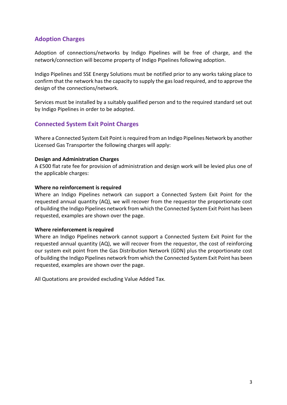## <span id="page-2-0"></span>**Adoption Charges**

Adoption of connections/networks by Indigo Pipelines will be free of charge, and the network/connection will become property of Indigo Pipelines following adoption.

Indigo Pipelines and SSE Energy Solutions must be notified prior to any works taking place to confirm that the network has the capacity to supply the gas load required, and to approve the design of the connections/network.

Services must be installed by a suitably qualified person and to the required standard set out by Indigo Pipelines in order to be adopted.

## <span id="page-2-1"></span>**Connected System Exit Point Charges**

Where a Connected System Exit Point is required from an Indigo Pipelines Network by another Licensed Gas Transporter the following charges will apply:

## **Design and Administration Charges**

A £500 flat rate fee for provision of administration and design work will be levied plus one of the applicable charges:

## **Where no reinforcement is required**

Where an Indigo Pipelines network can support a Connected System Exit Point for the requested annual quantity (AQ), we will recover from the requestor the proportionate cost of building the Indigo Pipelines network from which the Connected System Exit Point has been requested, examples are shown over the page.

### **Where reinforcement is required**

Where an Indigo Pipelines network cannot support a Connected System Exit Point for the requested annual quantity (AQ), we will recover from the requestor, the cost of reinforcing our system exit point from the Gas Distribution Network (GDN) plus the proportionate cost of building the Indigo Pipelines network from which the Connected System Exit Point has been requested, examples are shown over the page.

All Quotations are provided excluding Value Added Tax.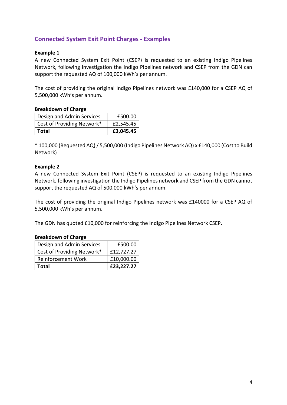## <span id="page-3-0"></span>**Connected System Exit Point Charges - Examples**

## **Example 1**

A new Connected System Exit Point (CSEP) is requested to an existing Indigo Pipelines Network, following investigation the Indigo Pipelines network and CSEP from the GDN can support the requested AQ of 100,000 kWh's per annum.

The cost of providing the original Indigo Pipelines network was £140,000 for a CSEP AQ of 5,500,000 kWh's per annum.

### **Breakdown of Charge**

| Design and Admin Services  | £500.00   |
|----------------------------|-----------|
| Cost of Providing Network* | £2,545.45 |
| Total                      | £3,045.45 |

\* 100,000 (Requested AQ)/ 5,500,000 (Indigo Pipelines Network AQ) x £140,000 (Cost to Build Network)

## **Example 2**

A new Connected System Exit Point (CSEP) is requested to an existing Indigo Pipelines Network, following investigation the Indigo Pipelines network and CSEP from the GDN cannot support the requested AQ of 500,000 kWh's per annum.

The cost of providing the original Indigo Pipelines network was £140000 for a CSEP AQ of 5,500,000 kWh's per annum.

The GDN has quoted £10,000 for reinforcing the Indigo Pipelines Network CSEP.

### **Breakdown of Charge**

| Design and Admin Services  | £500.00    |
|----------------------------|------------|
| Cost of Providing Network* | £12,727.27 |
| <b>Reinforcement Work</b>  | £10,000.00 |
| Total                      | £23,227.27 |